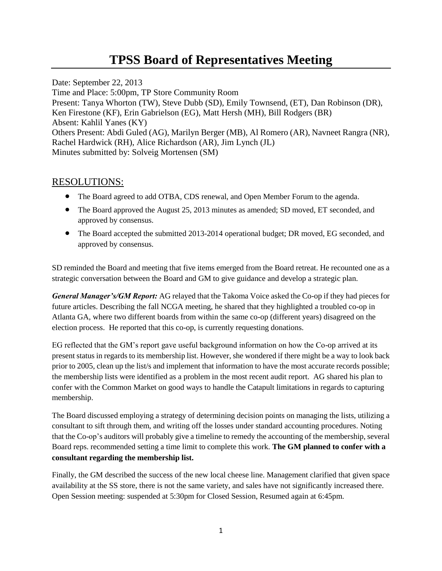## **TPSS Board of Representatives Meeting**

Date: September 22, 2013 Time and Place: 5:00pm, TP Store Community Room Present: Tanya Whorton (TW), Steve Dubb (SD), Emily Townsend, (ET), Dan Robinson (DR), Ken Firestone (KF), Erin Gabrielson (EG), Matt Hersh (MH), Bill Rodgers (BR) Absent: Kahlil Yanes (KY) Others Present: Abdi Guled (AG), Marilyn Berger (MB), Al Romero (AR), Navneet Rangra (NR), Rachel Hardwick (RH), Alice Richardson (AR), Jim Lynch (JL) Minutes submitted by: Solveig Mortensen (SM)

## RESOLUTIONS:

- The Board agreed to add OTBA, CDS renewal, and Open Member Forum to the agenda.
- The Board approved the August 25, 2013 minutes as amended; SD moved, ET seconded, and approved by consensus.
- The Board accepted the submitted 2013-2014 operational budget; DR moved, EG seconded, and approved by consensus.

SD reminded the Board and meeting that five items emerged from the Board retreat. He recounted one as a strategic conversation between the Board and GM to give guidance and develop a strategic plan.

*General Manager's/GM Report:* AG relayed that the Takoma Voice asked the Co-op if they had pieces for future articles. Describing the fall NCGA meeting, he shared that they highlighted a troubled co-op in Atlanta GA, where two different boards from within the same co-op (different years) disagreed on the election process. He reported that this co-op, is currently requesting donations.

EG reflected that the GM's report gave useful background information on how the Co-op arrived at its present status in regards to its membership list. However, she wondered if there might be a way to look back prior to 2005, clean up the list/s and implement that information to have the most accurate records possible; the membership lists were identified as a problem in the most recent audit report. AG shared his plan to confer with the Common Market on good ways to handle the Catapult limitations in regards to capturing membership.

The Board discussed employing a strategy of determining decision points on managing the lists, utilizing a consultant to sift through them, and writing off the losses under standard accounting procedures. Noting that the Co-op's auditors will probably give a timeline to remedy the accounting of the membership, several Board reps. recommended setting a time limit to complete this work. **The GM planned to confer with a consultant regarding the membership list.** 

Finally, the GM described the success of the new local cheese line. Management clarified that given space availability at the SS store, there is not the same variety, and sales have not significantly increased there. Open Session meeting: suspended at 5:30pm for Closed Session, Resumed again at 6:45pm.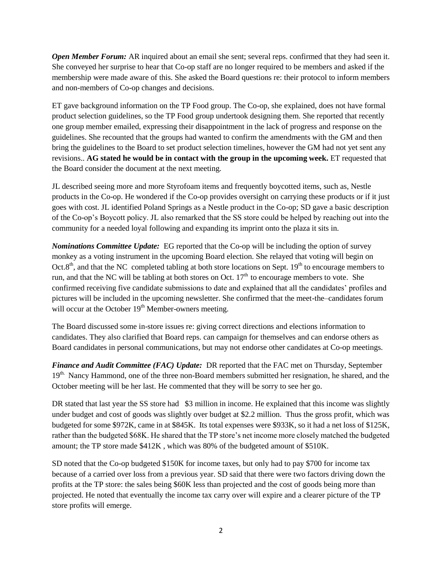*Open Member Forum:* AR inquired about an email she sent; several reps. confirmed that they had seen it. She conveyed her surprise to hear that Co-op staff are no longer required to be members and asked if the membership were made aware of this. She asked the Board questions re: their protocol to inform members and non-members of Co-op changes and decisions.

ET gave background information on the TP Food group. The Co-op, she explained, does not have formal product selection guidelines, so the TP Food group undertook designing them. She reported that recently one group member emailed, expressing their disappointment in the lack of progress and response on the guidelines. She recounted that the groups had wanted to confirm the amendments with the GM and then bring the guidelines to the Board to set product selection timelines, however the GM had not yet sent any revisions.. **AG stated he would be in contact with the group in the upcoming week.** ET requested that the Board consider the document at the next meeting.

JL described seeing more and more Styrofoam items and frequently boycotted items, such as, Nestle products in the Co-op. He wondered if the Co-op provides oversight on carrying these products or if it just goes with cost. JL identified Poland Springs as a Nestle product in the Co-op; SD gave a basic description of the Co-op's Boycott policy. JL also remarked that the SS store could be helped by reaching out into the community for a needed loyal following and expanding its imprint onto the plaza it sits in.

*Nominations Committee Update:* EG reported that the Co-op will be including the option of survey monkey as a voting instrument in the upcoming Board election. She relayed that voting will begin on Oct.8<sup>th</sup>, and that the NC completed tabling at both store locations on Sept. 19<sup>th</sup> to encourage members to run, and that the NC will be tabling at both stores on Oct.  $17<sup>th</sup>$  to encourage members to vote. She confirmed receiving five candidate submissions to date and explained that all the candidates' profiles and pictures will be included in the upcoming newsletter. She confirmed that the meet-the–candidates forum will occur at the October 19<sup>th</sup> Member-owners meeting.

The Board discussed some in-store issues re: giving correct directions and elections information to candidates. They also clarified that Board reps. can campaign for themselves and can endorse others as Board candidates in personal communications, but may not endorse other candidates at Co-op meetings.

*Finance and Audit Committee (FAC) Update:* DR reported that the FAC met on Thursday, September 19<sup>th.</sup> Nancy Hammond, one of the three non-Board members submitted her resignation, he shared, and the October meeting will be her last. He commented that they will be sorry to see her go.

DR stated that last year the SS store had \$3 million in income. He explained that this income was slightly under budget and cost of goods was slightly over budget at \$2.2 million. Thus the gross profit, which was budgeted for some \$972K, came in at \$845K. Its total expenses were \$933K, so it had a net loss of \$125K, rather than the budgeted \$68K. He shared that the TP store's net income more closely matched the budgeted amount; the TP store made \$412K , which was 80% of the budgeted amount of \$510K.

SD noted that the Co-op budgeted \$150K for income taxes, but only had to pay \$700 for income tax because of a carried over loss from a previous year. SD said that there were two factors driving down the profits at the TP store: the sales being \$60K less than projected and the cost of goods being more than projected. He noted that eventually the income tax carry over will expire and a clearer picture of the TP store profits will emerge.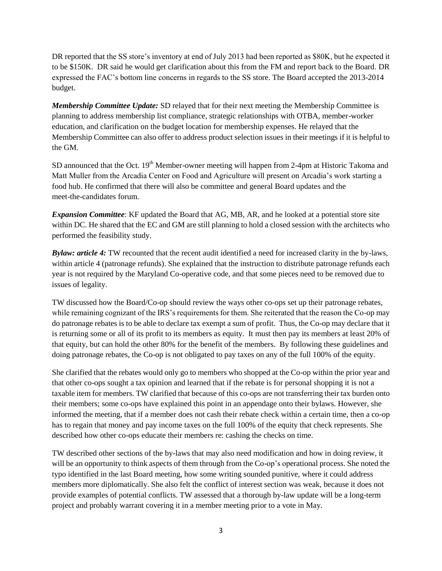DR reported that the SS store's inventory at end of July 2013 had been reported as \$80K, but he expected it to be \$150K. DR said he would get clarification about this from the FM and report back to the Board. DR expressed the FAC's bottom line concerns in regards to the SS store. The Board accepted the 2013-2014 budget.

*Membership Committee Update:* SD relayed that for their next meeting the Membership Committee is planning to address membership list compliance, strategic relationships with OTBA, member-worker education, and clarification on the budget location for membership expenses. He relayed that the Membership Committee can also offer to address product selection issues in their meetings if it is helpful to the GM.

SD announced that the Oct. 19<sup>th</sup> Member-owner meeting will happen from 2-4pm at Historic Takoma and Matt Muller from the Arcadia Center on Food and Agriculture will present on Arcadia's work starting a food hub. He confirmed that there will also be committee and general Board updates and the meet-the-candidates forum.

*Expansion Committee*: KF updated the Board that AG, MB, AR, and he looked at a potential store site within DC. He shared that the EC and GM are still planning to hold a closed session with the architects who performed the feasibility study.

*Bylaw: article 4:* TW recounted that the recent audit identified a need for increased clarity in the by-laws, within article 4 (patronage refunds). She explained that the instruction to distribute patronage refunds each year is not required by the Maryland Co-operative code, and that some pieces need to be removed due to issues of legality.

TW discussed how the Board/Co-op should review the ways other co-ops set up their patronage rebates, while remaining cognizant of the IRS's requirements for them. She reiterated that the reason the Co-op may do patronage rebates is to be able to declare tax exempt a sum of profit. Thus, the Co-op may declare that it is returning some or all of its profit to its members as equity. It must then pay its members at least 20% of that equity, but can hold the other 80% for the benefit of the members. By following these guidelines and doing patronage rebates, the Co-op is not obligated to pay taxes on any of the full 100% of the equity.

She clarified that the rebates would only go to members who shopped at the Co-op within the prior year and that other co-ops sought a tax opinion and learned that if the rebate is for personal shopping it is not a taxable item for members. TW clarified that because of this co-ops are not transferring their tax burden onto their members; some co-ops have explained this point in an appendage onto their bylaws. However, she informed the meeting, that if a member does not cash their rebate check within a certain time, then a co-op has to regain that money and pay income taxes on the full 100% of the equity that check represents. She described how other co-ops educate their members re: cashing the checks on time.

TW described other sections of the by-laws that may also need modification and how in doing review, it will be an opportunity to think aspects of them through from the Co-op's operational process. She noted the typo identified in the last Board meeting, how some writing sounded punitive, where it could address members more diplomatically. She also felt the conflict of interest section was weak, because it does not provide examples of potential conflicts. TW assessed that a thorough by-law update will be a long-term project and probably warrant covering it in a member meeting prior to a vote in May.